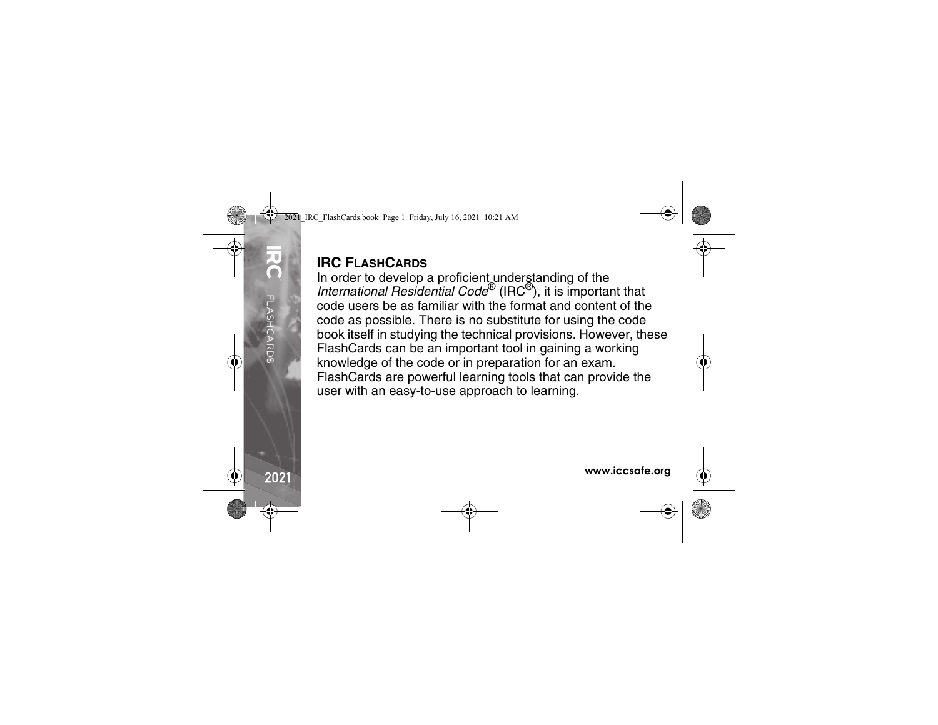## **IRC FLASHCARDS**

In order to develop a proficient understanding of the *International Residential Code*® (IRC ®), it is important that code users be as familiar with the format and content of the code as possible. There is no substitute for using the code book itself in studying the technical provisions. However, these FlashCards can be an important tool in gaining a working knowledge of the code or in preparation for an exam. FlashCards are powerful learning tools that can provide the user with an easy-to-use approach to learning.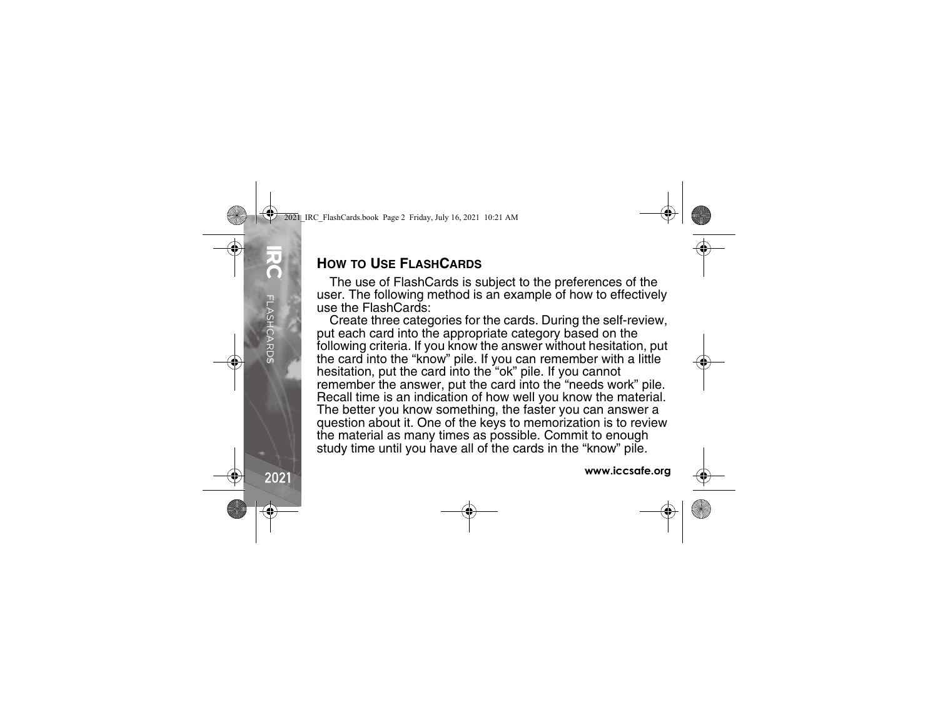## **HOW TO USE FLASH CARDS**

The use of FlashCards is subject to the preferences of the user. The following method is an example of how to effectively use the FlashCards:

Create three categories for the cards. During the self-review, put each card into the appropriate category based on the following criteria. If you know the answer without hesitation, put the card into the "know" pile. If you can remember with a little hesitation, put the card into the "ok" pile. If you cannot remember the answer, put the card into the "needs work" pile. Recall time is an indication of how well you know the material. The better you know something, the faster you can answer a question about it. One of the keys to memorization is to review the material as many times as possible. Commit to enough study time until you have all of the cards in the "know" pile.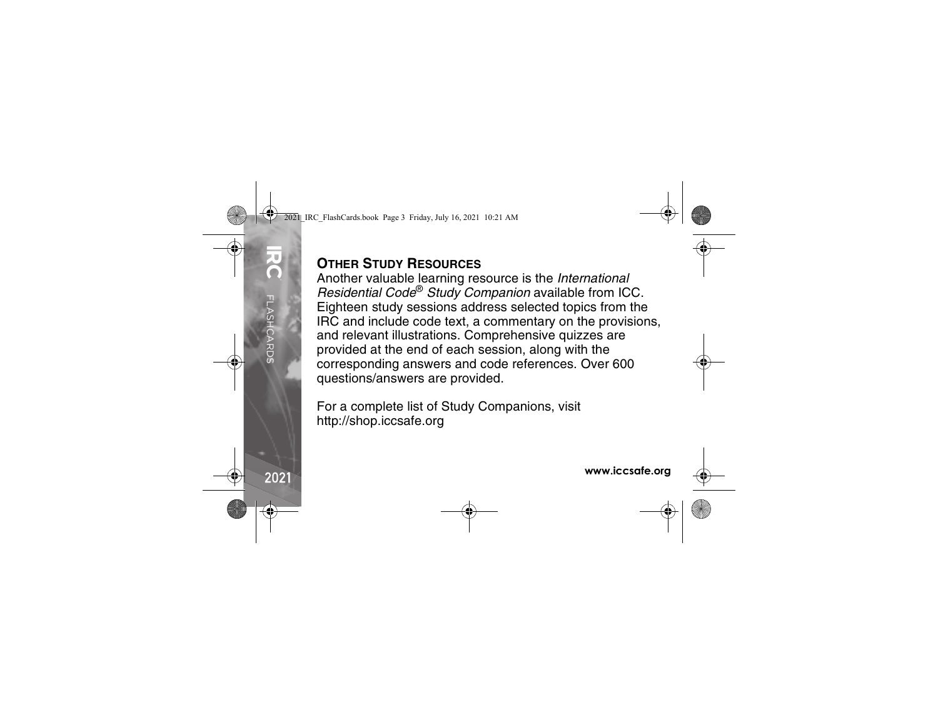## **OTHER STUDY RESOURCES**

Another valuable learning resource is the *International Residential Code*® *Study Companion* available from ICC. Eighteen study sessions address selected topics from the IRC and include code text, a commentary on the provisions, and relevant illustrations. Comprehensive quizzes are provided at the end of each session, along with the corresponding answers and code references. Over 600 questions/answers are provided.

For a complete list of Study Companions, visit http://shop.iccsafe.org